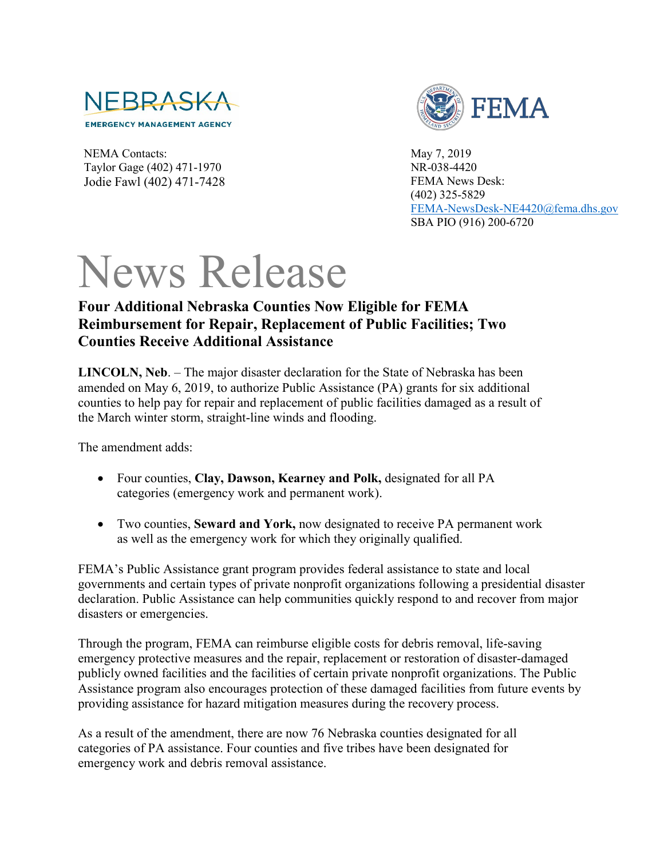

FEMA

NEMA Contacts: Taylor Gage (402) 471-1970 Jodie Fawl (402) 471-7428 May 7, 2019 NR-038-4420 FEMA News Desk: (402) 325-5829 [FEMA-NewsDesk-NE4420@fema.dhs.gov](mailto:FEMA-NewsDesk-NE4420@fema.dhs.gov) SBA PIO (916) 200-6720

## News Release

## **Four Additional Nebraska Counties Now Eligible for FEMA Reimbursement for Repair, Replacement of Public Facilities; Two Counties Receive Additional Assistance**

**LINCOLN, Neb**. – The major disaster declaration for the State of Nebraska has been amended on May 6, 2019, to authorize Public Assistance (PA) grants for six additional counties to help pay for repair and replacement of public facilities damaged as a result of the March winter storm, straight-line winds and flooding.

The amendment adds:

- Four counties, **Clay, Dawson, Kearney and Polk,** designated for all PA categories (emergency work and permanent work).
- Two counties, **Seward and York,** now designated to receive PA permanent work as well as the emergency work for which they originally qualified.

FEMA's Public Assistance grant program provides federal assistance to state and local governments and certain types of private nonprofit organizations following a presidential disaster declaration. Public Assistance can help communities quickly respond to and recover from major disasters or emergencies.

Through the program, FEMA can reimburse eligible costs for debris removal, life-saving emergency protective measures and the repair, replacement or restoration of disaster-damaged publicly owned facilities and the facilities of certain private nonprofit organizations. The Public Assistance program also encourages protection of these damaged facilities from future events by providing assistance for hazard mitigation measures during the recovery process.

As a result of the amendment, there are now 76 Nebraska counties designated for all categories of PA assistance. Four counties and five tribes have been designated for emergency work and debris removal assistance.